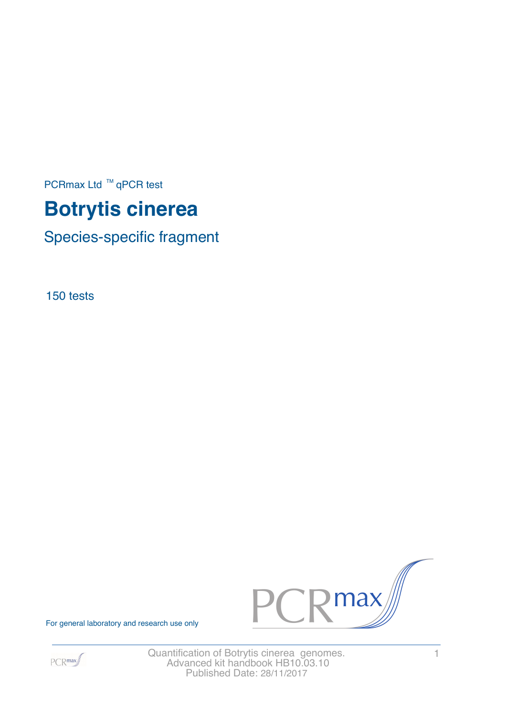PCRmax Ltd  $™$  qPCR test

# **Botrytis cinerea**

Species-specific fragment

150 tests



For general laboratory and research use only



Quantification of Botrytis cinerea genomes. 1 Advanced kit handbook HB10.03.10 Published Date: 28/11/2017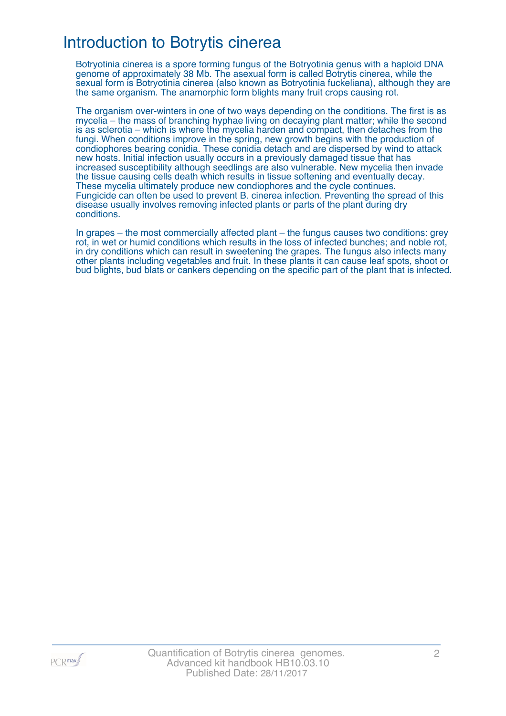## Introduction to Botrytis cinerea

Botryotinia cinerea is a spore forming fungus of the Botryotinia genus with a haploid DNA genome of approximately 38 Mb. The asexual form is called Botrytis cinerea, while the sexual form is Botryotinia cinerea (also known as Botryotinia fuckeliana), although they are the same organism. The anamorphic form blights many fruit crops causing rot.

The organism over-winters in one of two ways depending on the conditions. The first is as mycelia – the mass of branching hyphae living on decaying plant matter; while the second is as sclerotia – which is where the mycelia harden and compact, then detaches from the fungi. When conditions improve in the spring, new growth begins with the production of condiophores bearing conidia. These conidia detach and are dispersed by wind to attack new hosts. Initial infection usually occurs in a previously damaged tissue that has increased susceptibility although seedlings are also vulnerable. New mycelia then invade the tissue causing cells death which results in tissue softening and eventually decay. These mycelia ultimately produce new condiophores and the cycle continues. Fungicide can often be used to prevent B. cinerea infection. Preventing the spread of this disease usually involves removing infected plants or parts of the plant during dry conditions.

In grapes – the most commercially affected plant – the fungus causes two conditions: grey rot, in wet or humid conditions which results in the loss of infected bunches; and noble rot, in dry conditions which can result in sweetening the grapes. The fungus also infects many other plants including vegetables and fruit. In these plants it can cause leaf spots, shoot or bud blights, bud blats or cankers depending on the specific part of the plant that is infected.

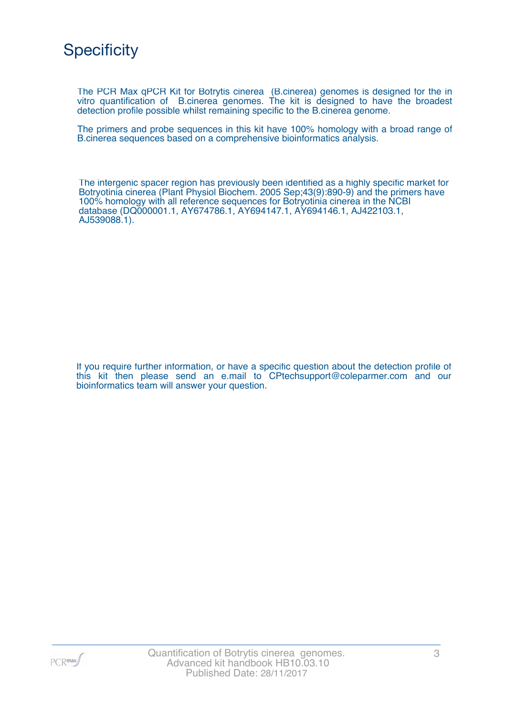

The PCR Max qPCR Kit for Botrytis cinerea (B.cinerea) genomes is designed for the in vitro quantification of B.cinerea genomes. The kit is designed to have the broadest detection profile possible whilst remaining specific to the B.cinerea genome.

The primers and probe sequences in this kit have 100% homology with a broad range of B.cinerea sequences based on a comprehensive bioinformatics analysis.

The intergenic spacer region has previously been identified as a highly specific market for Botryotinia cinerea (Plant Physiol Biochem. 2005 Sep;43(9):890-9) and the primers have 100% homology with all reference sequences for Botryotinia cinerea in the NCBI database (DQ000001.1, AY674786.1, AY694147.1, AY694146.1, AJ422103.1, AJ539088.1).

If you require further information, or have a specific question about the detection profile of this kit then please send an e.mail to CPtechsupport@coleparmer.com and our bioinformatics team will answer your question.

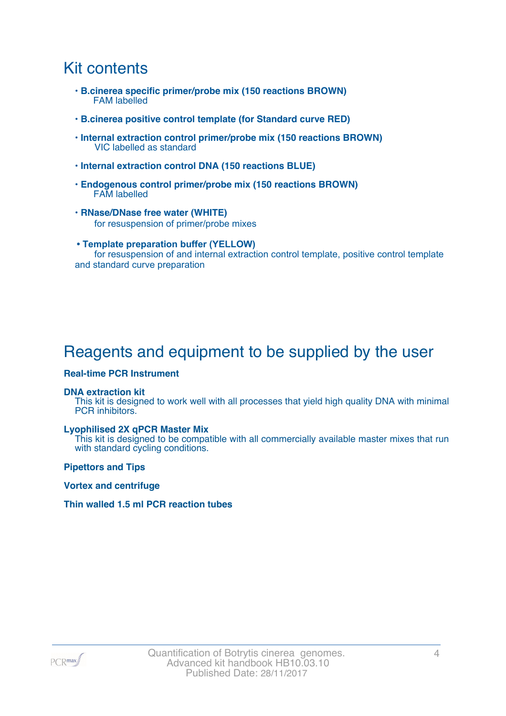## Kit contents

- **B.cinerea specific primer/probe mix (150 reactions BROWN)** FAM labelled
- **B.cinerea positive control template (for Standard curve RED)**
- **Internal extraction control primer/probe mix (150 reactions BROWN)** VIC labelled as standard
- **Internal extraction control DNA (150 reactions BLUE)**
- **Endogenous control primer/probe mix (150 reactions BROWN)** FAM labelled
- **RNase/DNase free water (WHITE)** for resuspension of primer/probe mixes
- **Template preparation buffer (YELLOW)** for resuspension of and internal extraction control template, positive control template and standard curve preparation

# Reagents and equipment to be supplied by the user

#### **Real-time PCR Instrument**

#### **DNA extraction kit**

This kit is designed to work well with all processes that yield high quality DNA with minimal PCR inhibitors.

#### **Lyophilised 2X qPCR Master Mix**

This kit is designed to be compatible with all commercially available master mixes that run with standard cycling conditions.

**Pipettors and Tips**

**Vortex and centrifuge**

#### **Thin walled 1.5 ml PCR reaction tubes**

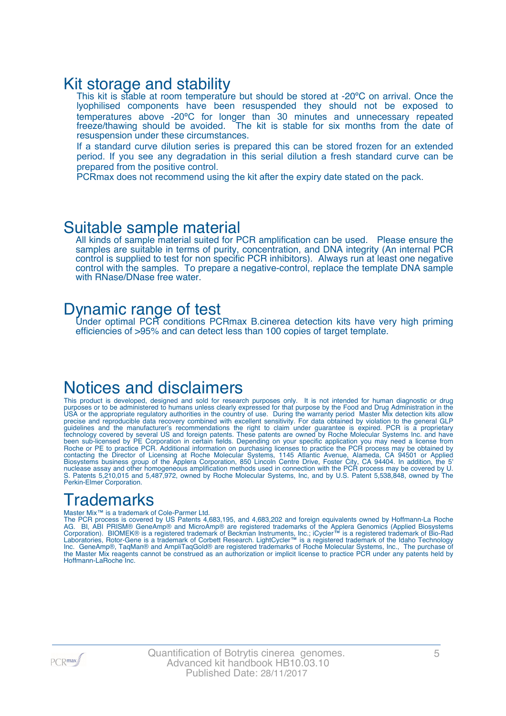### Kit storage and stability

This kit is stable at room temperature but should be stored at -20°C on arrival. Once the lyophilised components have been resuspended they should not be exposed to temperatures above -20ºC for longer than 30 minutes and unnecessary repeated freeze/thawing should be avoided. The kit is stable for six months from the date of resuspension under these circumstances.

If a standard curve dilution series is prepared this can be stored frozen for an extended period. If you see any degradation in this serial dilution a fresh standard curve can be prepared from the positive control.

PCRmax does not recommend using the kit after the expiry date stated on the pack.

### Suitable sample material

All kinds of sample material suited for PCR amplification can be used. Please ensure the samples are suitable in terms of purity, concentration, and DNA integrity (An internal PCR control is supplied to test for non specific PCR inhibitors). Always run at least one negative control with the samples. To prepare a negative-control, replace the template DNA sample with RNase/DNase free water.

### Dynamic range of test

Under optimal PCR conditions PCRmax B.cinerea detection kits have very high priming efficiencies of >95% and can detect less than 100 copies of target template.

### Notices and disclaimers

This product is developed, designed and sold for research purposes only. It is not intended for human diagnostic or drug purposes or to be administered to humans unless clearly expressed for that purpose by the Food and Drug Administration in the USA or the appropriate regulatory authorities in the country of use. During the warranty period Master Mix detection kits allow precise and reproducible data recovery combined with excellent sensitivity. For data obtained by violation to the general GLP guidelines and the manufacturer's recommendations the right to claim under guarantee is expired. PCR is a proprietary technology covered by several US and foreign patents. These patents are owned by Roche Molecular Systems Inc. and have been sub-licensed by PE Corporation in certain fields. Depending on your specific application you may need a license from Roche or PE to practice PCR. Additional information on purchasing licenses to practice the PCR process may be obtained by contacting the Director of Licensing at Roche Molecular Systems, 1145 Atlantic Avenue, Alameda, CA 94501 or Applied Biosystems business group of the Applera Corporation, 850 Lincoln Centre Drive, Foster City, CA 94404. In addition, the 5' nuclease assay and other homogeneous amplification methods used in connection with the PCR process may be covered by U. S. Patents 5,210,015 and 5,487,972, owned by Roche Molecular Systems, Inc, and by U.S. Patent 5,538,848, owned by The Perkin-Elmer Corporation.

### **Trademarks**

#### Master Mix™ is a trademark of Cole-Parmer Ltd.

The PCR process is covered by US Patents 4,683,195, and 4,683,202 and foreign equivalents owned by Hoffmann-La Roche AG. BI, ABI PRISM® GeneAmp® and MicroAmp® are registered trademarks of the Applera Genomics (Applied Biosystems Corporation). BIOMEK® is a registered trademark of Beckman Instruments, Inc.; iCycler™ is a registered trademark of Bio-Rad Laboratories, Rotor-Gene is a trademark of Corbett Research. LightCycler™ is a registered trademark of the Idaho Technology Inc. GeneAmp®, TaqMan® and AmpliTaqGold® are registered trademarks of Roche Molecular Systems, Inc., The purchase of the Master Mix reagents cannot be construed as an authorization or implicit license to practice PCR under any patents held by Hoffmann-LaRoche Inc.

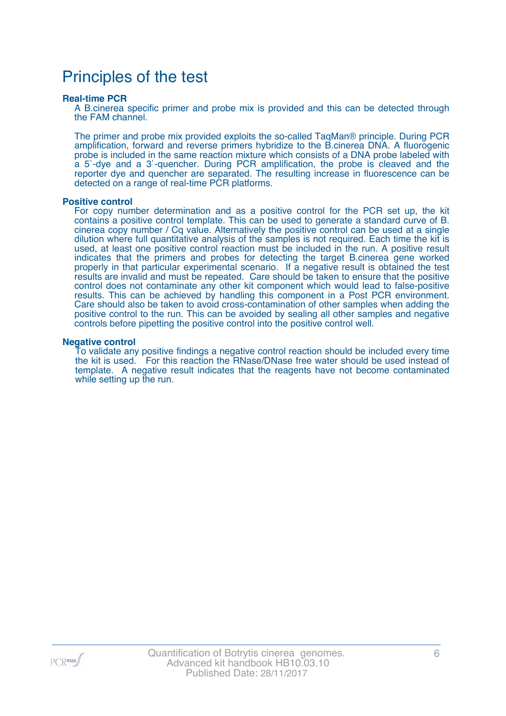## Principles of the test

#### **Real-time PCR**

A B.cinerea specific primer and probe mix is provided and this can be detected through the FAM channel.

The primer and probe mix provided exploits the so-called TaqMan® principle. During PCR amplification, forward and reverse primers hybridize to the B.cinerea DNA. A fluorogenic probe is included in the same reaction mixture which consists of a DNA probe labeled with a 5`-dye and a 3`-quencher. During PCR amplification, the probe is cleaved and the reporter dye and quencher are separated. The resulting increase in fluorescence can be detected on a range of real-time PCR platforms.

#### **Positive control**

For copy number determination and as a positive control for the PCR set up, the kit contains a positive control template. This can be used to generate a standard curve of B. cinerea copy number / Cq value. Alternatively the positive control can be used at a single dilution where full quantitative analysis of the samples is not required. Each time the kit is used, at least one positive control reaction must be included in the run. A positive result indicates that the primers and probes for detecting the target B.cinerea gene worked properly in that particular experimental scenario. If a negative result is obtained the test results are invalid and must be repeated. Care should be taken to ensure that the positive control does not contaminate any other kit component which would lead to false-positive results. This can be achieved by handling this component in a Post PCR environment. Care should also be taken to avoid cross-contamination of other samples when adding the positive control to the run. This can be avoided by sealing all other samples and negative controls before pipetting the positive control into the positive control well.

#### **Negative control**

To validate any positive findings a negative control reaction should be included every time the kit is used. For this reaction the RNase/DNase free water should be used instead of template. A negative result indicates that the reagents have not become contaminated while setting up the run.

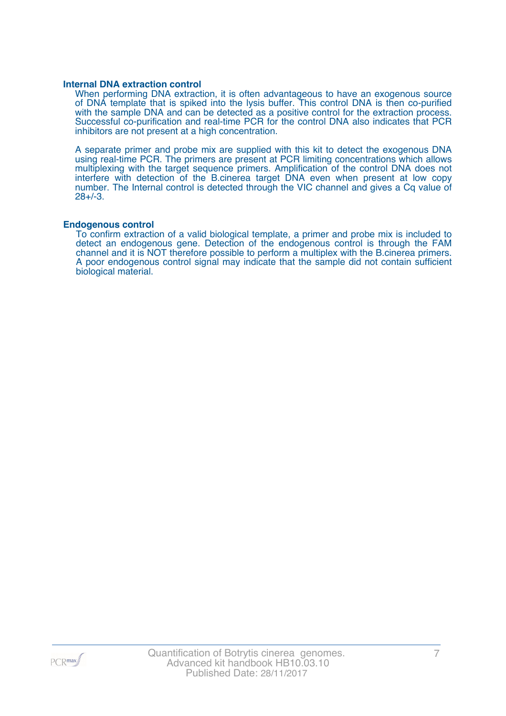#### **Internal DNA extraction control**

When performing DNA extraction, it is often advantageous to have an exogenous source of DNA template that is spiked into the lysis buffer. This control DNA is then co-purified with the sample DNA and can be detected as a positive control for the extraction process. Successful co-purification and real-time PCR for the control DNA also indicates that PCR inhibitors are not present at a high concentration.

A separate primer and probe mix are supplied with this kit to detect the exogenous DNA using real-time PCR. The primers are present at PCR limiting concentrations which allows multiplexing with the target sequence primers. Amplification of the control DNA does not interfere with detection of the B.cinerea target DNA even when present at low copy number. The Internal control is detected through the VIC channel and gives a Cq value of 28+/-3.

#### **Endogenous control**

To confirm extraction of a valid biological template, a primer and probe mix is included to detect an endogenous gene. Detection of the endogenous control is through the FAM channel and it is NOT therefore possible to perform a multiplex with the B.cinerea primers. A poor endogenous control signal may indicate that the sample did not contain sufficient biological material.

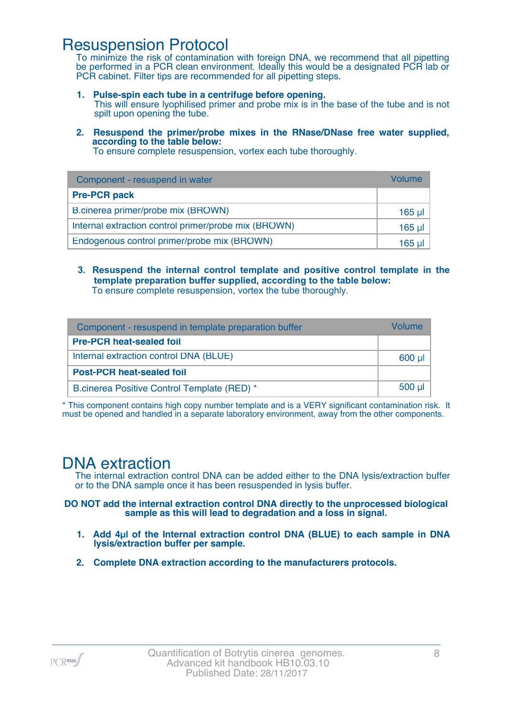### Resuspension Protocol

To minimize the risk of contamination with foreign DNA, we recommend that all pipetting be performed in a PCR clean environment. Ideally this would be a designated PCR lab or PCR cabinet. Filter tips are recommended for all pipetting steps.

- **1. Pulse-spin each tube in a centrifuge before opening.** This will ensure lyophilised primer and probe mix is in the base of the tube and is not spilt upon opening the tube.
- **2. Resuspend the primer/probe mixes in the RNase/DNase free water supplied, according to the table below:**

To ensure complete resuspension, vortex each tube thoroughly.

| Component - resuspend in water                       | Volume  |
|------------------------------------------------------|---------|
| <b>Pre-PCR pack</b>                                  |         |
| B.cinerea primer/probe mix (BROWN)                   | 165 µl  |
| Internal extraction control primer/probe mix (BROWN) | $165$ µ |
| Endogenous control primer/probe mix (BROWN)          | 165 ul  |

**3. Resuspend the internal control template and positive control template in the template preparation buffer supplied, according to the table below:** To ensure complete resuspension, vortex the tube thoroughly.

| Component - resuspend in template preparation buffer |          |  |
|------------------------------------------------------|----------|--|
| <b>Pre-PCR heat-sealed foil</b>                      |          |  |
| Internal extraction control DNA (BLUE)               | 600 µl   |  |
| <b>Post-PCR heat-sealed foil</b>                     |          |  |
| B.cinerea Positive Control Template (RED) *          | $500$ µl |  |

\* This component contains high copy number template and is a VERY significant contamination risk. It must be opened and handled in a separate laboratory environment, away from the other components.

### DNA extraction

The internal extraction control DNA can be added either to the DNA lysis/extraction buffer or to the DNA sample once it has been resuspended in lysis buffer.

**DO NOT add the internal extraction control DNA directly to the unprocessed biological sample as this will lead to degradation and a loss in signal.**

- **1. Add 4µl of the Internal extraction control DNA (BLUE) to each sample in DNA lysis/extraction buffer per sample.**
- **2. Complete DNA extraction according to the manufacturers protocols.**

PCR<sub>max</sub>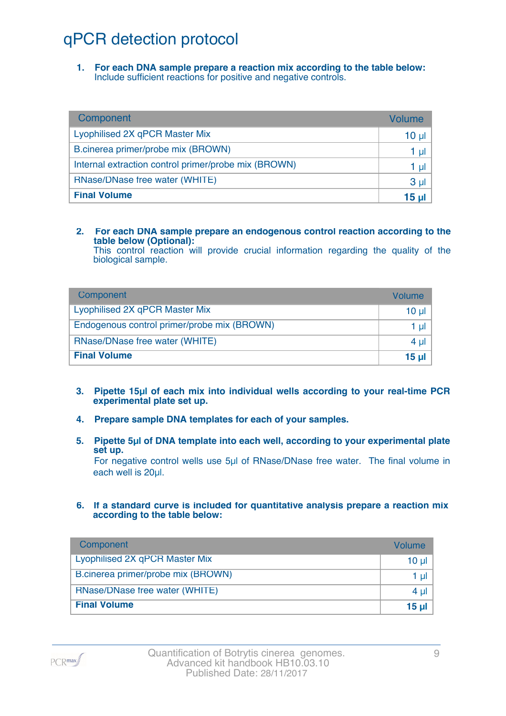# qPCR detection protocol

**1. For each DNA sample prepare a reaction mix according to the table below:** Include sufficient reactions for positive and negative controls.

| Component                                            | Volume         |
|------------------------------------------------------|----------------|
| Lyophilised 2X qPCR Master Mix                       | $10 \mu$       |
| B.cinerea primer/probe mix (BROWN)                   | 1 µl           |
| Internal extraction control primer/probe mix (BROWN) | 1 µl           |
| RNase/DNase free water (WHITE)                       | 3 <sub>µ</sub> |
| <b>Final Volume</b>                                  | 15 µl          |

#### **2. For each DNA sample prepare an endogenous control reaction according to the table below (Optional):**

This control reaction will provide crucial information regarding the quality of the biological sample.

| Component                                   | Volume       |
|---------------------------------------------|--------------|
| Lyophilised 2X qPCR Master Mix              | 10 ul        |
| Endogenous control primer/probe mix (BROWN) | 1 ul         |
| RNase/DNase free water (WHITE)              | $4 \mu$      |
| <b>Final Volume</b>                         | <u>15 ul</u> |

- **3. Pipette 15µl of each mix into individual wells according to your real-time PCR experimental plate set up.**
- **4. Prepare sample DNA templates for each of your samples.**
- **5. Pipette 5µl of DNA template into each well, according to your experimental plate set up.**

For negative control wells use 5µl of RNase/DNase free water. The final volume in each well is 20ul.

**6. If a standard curve is included for quantitative analysis prepare a reaction mix according to the table below:**

| Component                          | Volume   |
|------------------------------------|----------|
| Lyophilised 2X qPCR Master Mix     | $10 \mu$ |
| B.cinerea primer/probe mix (BROWN) | 1 $\mu$  |
| RNase/DNase free water (WHITE)     | 4 $\mu$  |
| <b>Final Volume</b>                | 15 $\mu$ |

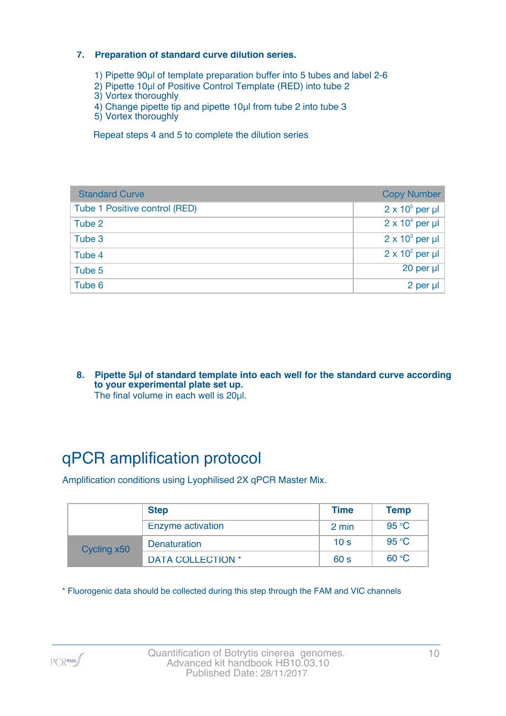#### **7. Preparation of standard curve dilution series.**

- 1) Pipette 90µl of template preparation buffer into 5 tubes and label 2-6
- 2) Pipette 10µl of Positive Control Template (RED) into tube 2
- 3) Vortex thoroughly
- 4) Change pipette tip and pipette 10µl from tube 2 into tube 3
- 5) Vortex thoroughly

Repeat steps 4 and 5 to complete the dilution series

| <b>Standard Curve</b>         | <b>Copy Number</b>     |
|-------------------------------|------------------------|
| Tube 1 Positive control (RED) | $2 \times 10^5$ per µl |
| Tube 2                        | $2 \times 10^4$ per µl |
| Tube 3                        | $2 \times 10^3$ per µl |
| Tube 4                        | $2 \times 10^2$ per µl |
| Tube 5                        | 20 per µl              |
| Tube 6                        | 2 per µl               |

**8. Pipette 5µl of standard template into each well for the standard curve according to your experimental plate set up.** The final volume in each well is 20µl.

# qPCR amplification protocol

Amplification conditions using Lyophilised 2X qPCR Master Mix.

|             | <b>Step</b>              | <b>Time</b>     | <b>Temp</b> |
|-------------|--------------------------|-----------------|-------------|
|             | Enzyme activation        | 2 min           | 95 °C       |
| Cycling x50 | <b>Denaturation</b>      | 10 <sub>s</sub> | 95 °C       |
|             | <b>DATA COLLECTION *</b> | 60 <sub>s</sub> | 60 °C       |

\* Fluorogenic data should be collected during this step through the FAM and VIC channels

PCR<sub>max</sub>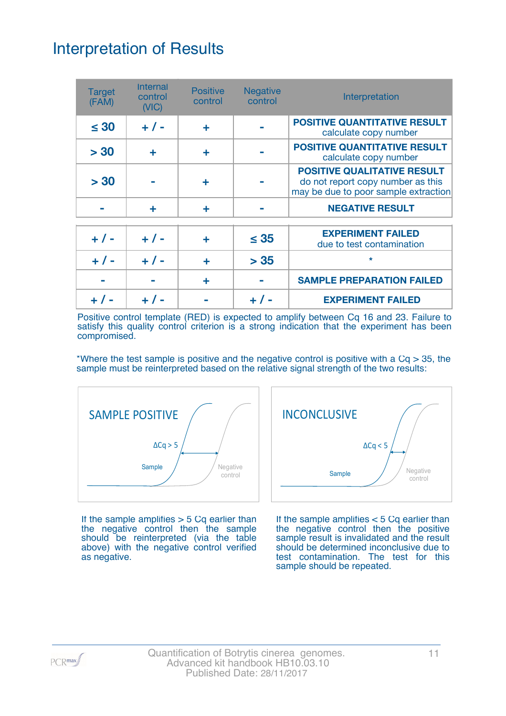# Interpretation of Results

| <b>Target</b><br>(FAM) | <b>Internal</b><br>control<br>(NIC) | <b>Positive</b><br>control | <b>Negative</b><br>control | Interpretation                                                                                                  |
|------------------------|-------------------------------------|----------------------------|----------------------------|-----------------------------------------------------------------------------------------------------------------|
| $\leq 30$              | $+ 1 -$                             | ٠                          |                            | <b>POSITIVE QUANTITATIVE RESULT</b><br>calculate copy number                                                    |
| > 30                   | ÷                                   | ÷                          |                            | <b>POSITIVE QUANTITATIVE RESULT</b><br>calculate copy number                                                    |
| > 30                   |                                     |                            |                            | <b>POSITIVE QUALITATIVE RESULT</b><br>do not report copy number as this<br>may be due to poor sample extraction |
|                        | ÷                                   | ٠                          |                            | <b>NEGATIVE RESULT</b>                                                                                          |
| $+ 1 -$                | $+ 1 -$                             | ٠                          | $\leq$ 35                  | <b>EXPERIMENT FAILED</b><br>due to test contamination                                                           |
| $+ 1 -$                | $+ 1 -$                             | ÷                          | > 35                       | $\star$                                                                                                         |
|                        |                                     | ٠                          |                            | <b>SAMPLE PREPARATION FAILED</b>                                                                                |
|                        |                                     |                            |                            | <b>EXPERIMENT FAILED</b>                                                                                        |

Positive control template (RED) is expected to amplify between Cq 16 and 23. Failure to satisfy this quality control criterion is a strong indication that the experiment has been compromised.

\*Where the test sample is positive and the negative control is positive with a  $Cq > 35$ , the sample must be reinterpreted based on the relative signal strength of the two results:



If the sample amplifies  $> 5$  Cq earlier than the negative control then the sample should be reinterpreted (via the table above) with the negative control verified as negative.



If the sample amplifies < 5 Cq earlier than the negative control then the positive sample result is invalidated and the result should be determined inconclusive due to test contamination. The test for this sample should be repeated.